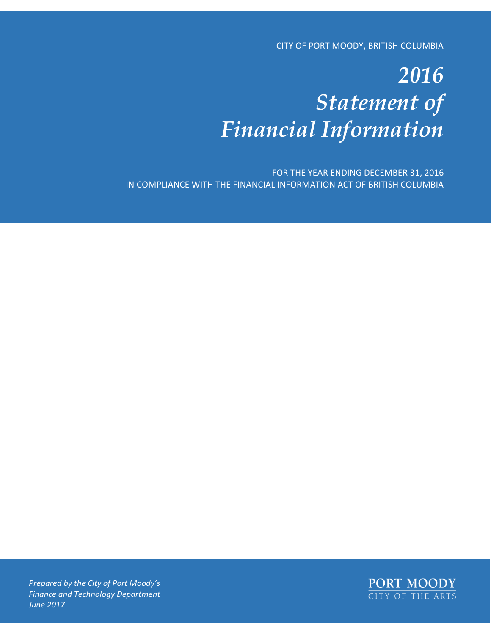CITY OF PORT MOODY, BRITISH COLUMBIA

# *2016 Statement of Financial Information*

FOR THE YEAR ENDING DECEMBER 31, 2016 IN COMPLIANCE WITH THE FINANCIAL INFORMATION ACT OF BRITISH COLUMBIA



*Prepared by the City of Port Moody's Finance and Technology Department June 2017*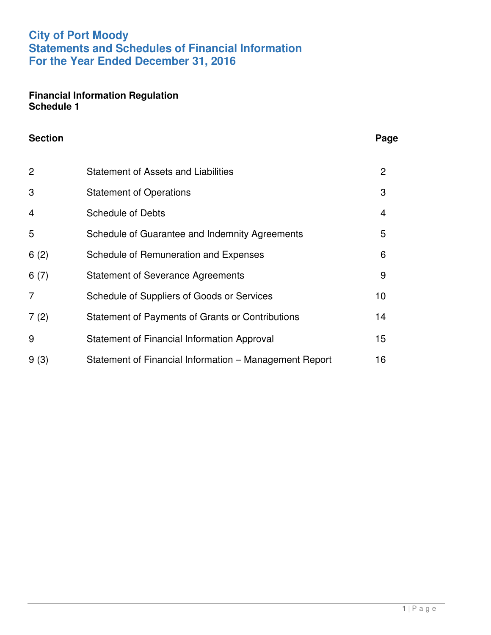## **City of Port Moody Statements and Schedules of Financial Information For the Year Ended December 31, 2016**

#### **Financial Information Regulation Schedule 1**

| <b>Section</b> |                                                         | Page           |
|----------------|---------------------------------------------------------|----------------|
| 2              | <b>Statement of Assets and Liabilities</b>              | $\overline{2}$ |
| 3              | <b>Statement of Operations</b>                          | 3              |
| 4              | <b>Schedule of Debts</b>                                | $\overline{4}$ |
| 5              | Schedule of Guarantee and Indemnity Agreements          | 5              |
| 6(2)           | Schedule of Remuneration and Expenses                   | 6              |
| 6(7)           | <b>Statement of Severance Agreements</b>                | 9              |
| 7              | Schedule of Suppliers of Goods or Services              | 10             |
| 7(2)           | <b>Statement of Payments of Grants or Contributions</b> | 14             |
| 9              | Statement of Financial Information Approval             | 15             |
| 9(3)           | Statement of Financial Information – Management Report  | 16             |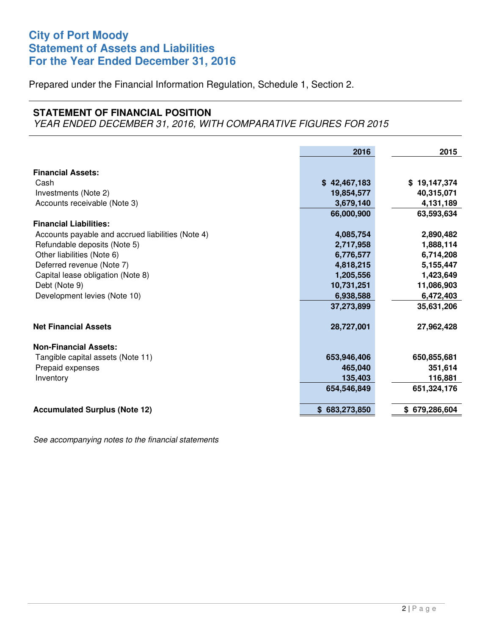### **City of Port Moody Statement of Assets and Liabilities For the Year Ended December 31, 2016**

Prepared under the Financial Information Regulation, Schedule 1, Section 2.

#### **STATEMENT OF FINANCIAL POSITION**

YEAR ENDED DECEMBER 31, 2016, WITH COMPARATIVE FIGURES FOR 2015

|                                                   | 2016          | 2015          |
|---------------------------------------------------|---------------|---------------|
| <b>Financial Assets:</b>                          |               |               |
| Cash                                              | \$42,467,183  | \$19,147,374  |
| Investments (Note 2)                              | 19,854,577    | 40,315,071    |
| Accounts receivable (Note 3)                      | 3,679,140     | 4,131,189     |
|                                                   | 66,000,900    | 63,593,634    |
| <b>Financial Liabilities:</b>                     |               |               |
| Accounts payable and accrued liabilities (Note 4) | 4,085,754     | 2,890,482     |
| Refundable deposits (Note 5)                      | 2,717,958     | 1,888,114     |
| Other liabilities (Note 6)                        | 6,776,577     | 6,714,208     |
| Deferred revenue (Note 7)                         | 4,818,215     | 5,155,447     |
| Capital lease obligation (Note 8)                 | 1,205,556     | 1,423,649     |
| Debt (Note 9)                                     | 10,731,251    | 11,086,903    |
| Development levies (Note 10)                      | 6,938,588     | 6,472,403     |
|                                                   | 37,273,899    | 35,631,206    |
| <b>Net Financial Assets</b>                       | 28,727,001    | 27,962,428    |
| <b>Non-Financial Assets:</b>                      |               |               |
| Tangible capital assets (Note 11)                 | 653,946,406   | 650,855,681   |
| Prepaid expenses                                  | 465,040       | 351,614       |
| Inventory                                         | 135,403       | 116,881       |
|                                                   | 654,546,849   | 651,324,176   |
| <b>Accumulated Surplus (Note 12)</b>              | \$683,273,850 | \$679,286,604 |

See accompanying notes to the financial statements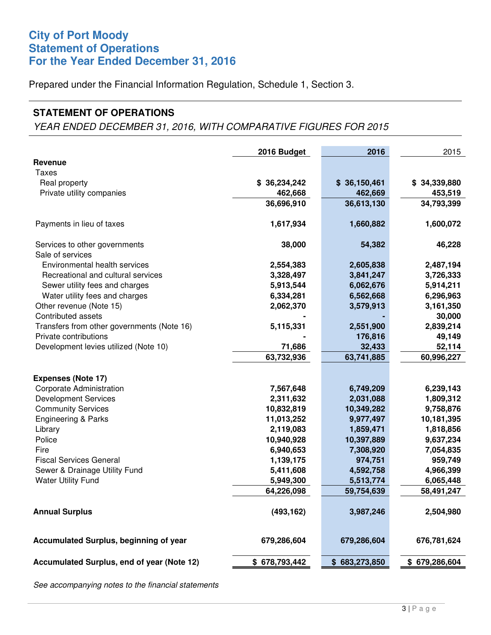### **City of Port Moody Statement of Operations For the Year Ended December 31, 2016**

Prepared under the Financial Information Regulation, Schedule 1, Section 3.

#### **STATEMENT OF OPERATIONS**

YEAR ENDED DECEMBER 31, 2016, WITH COMPARATIVE FIGURES FOR 2015

|                                            | 2016 Budget   | 2016          | 2015          |
|--------------------------------------------|---------------|---------------|---------------|
| Revenue                                    |               |               |               |
| Taxes                                      |               |               |               |
| Real property                              | \$36,234,242  | \$36,150,461  | \$34,339,880  |
| Private utility companies                  | 462,668       | 462,669       | 453,519       |
|                                            | 36,696,910    | 36,613,130    | 34,793,399    |
| Payments in lieu of taxes                  | 1,617,934     | 1,660,882     | 1,600,072     |
| Services to other governments              | 38,000        | 54,382        | 46,228        |
| Sale of services                           |               |               |               |
| Environmental health services              | 2,554,383     | 2,605,838     | 2,487,194     |
| Recreational and cultural services         | 3,328,497     | 3,841,247     | 3,726,333     |
| Sewer utility fees and charges             | 5,913,544     | 6,062,676     | 5,914,211     |
| Water utility fees and charges             | 6,334,281     | 6,562,668     | 6,296,963     |
| Other revenue (Note 15)                    | 2,062,370     | 3,579,913     | 3,161,350     |
| Contributed assets                         |               |               | 30,000        |
| Transfers from other governments (Note 16) | 5,115,331     | 2,551,900     | 2,839,214     |
| Private contributions                      |               | 176,816       | 49,149        |
| Development levies utilized (Note 10)      | 71,686        | 32,433        | 52,114        |
|                                            | 63,732,936    | 63,741,885    | 60,996,227    |
| <b>Expenses (Note 17)</b>                  |               |               |               |
| Corporate Administration                   | 7,567,648     | 6,749,209     | 6,239,143     |
| <b>Development Services</b>                | 2,311,632     | 2,031,088     | 1,809,312     |
| <b>Community Services</b>                  | 10,832,819    | 10,349,282    | 9,758,876     |
| Engineering & Parks                        | 11,013,252    | 9,977,497     | 10,181,395    |
| Library                                    | 2,119,083     | 1,859,471     | 1,818,856     |
| Police                                     | 10,940,928    | 10,397,889    | 9,637,234     |
| Fire                                       | 6,940,653     | 7,308,920     | 7,054,835     |
| <b>Fiscal Services General</b>             | 1,139,175     | 974,751       | 959,749       |
| Sewer & Drainage Utility Fund              | 5,411,608     | 4,592,758     | 4,966,399     |
| <b>Water Utility Fund</b>                  | 5,949,300     | 5,513,774     | 6,065,448     |
|                                            | 64,226,098    | 59,754,639    | 58,491,247    |
|                                            |               |               |               |
| <b>Annual Surplus</b>                      | (493, 162)    | 3,987,246     | 2,504,980     |
| Accumulated Surplus, beginning of year     | 679,286,604   | 679,286,604   | 676,781,624   |
| Accumulated Surplus, end of year (Note 12) | \$678,793,442 | \$683,273,850 | \$679,286,604 |

See accompanying notes to the financial statements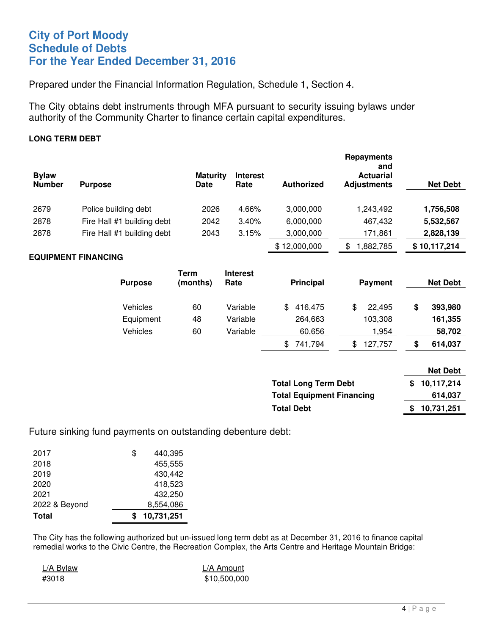#### **City of Port Moody Schedule of Debts For the Year Ended December 31, 2016**

Prepared under the Financial Information Regulation, Schedule 1, Section 4.

The City obtains debt instruments through MFA pursuant to security issuing bylaws under authority of the Community Charter to finance certain capital expenditures.

#### **LONG TERM DEBT**

| <b>Bylaw</b><br><b>Number</b> | <b>Purpose</b>             | <b>Maturity</b><br><b>Date</b> | <b>Interest</b><br>Rate | <b>Authorized</b> | <b>Repayments</b><br>and<br><b>Actuarial</b><br><b>Adjustments</b> | <b>Net Debt</b> |
|-------------------------------|----------------------------|--------------------------------|-------------------------|-------------------|--------------------------------------------------------------------|-----------------|
| 2679                          | Police building debt       | 2026                           | 4.66%                   | 3,000,000         | 1,243,492                                                          | 1,756,508       |
| 2878                          | Fire Hall #1 building debt | 2042                           | 3.40%                   | 6,000,000         | 467,432                                                            | 5,532,567       |
| 2878                          | Fire Hall #1 building debt | 2043                           | 3.15%                   | 3,000,000         | 171,861                                                            | 2,828,139       |
|                               |                            |                                |                         | \$12,000,000      | 882,785<br>S                                                       | \$10,117,214    |

#### **EQUIPMENT FINANCING**

| <b>Purpose</b>  | Term<br>(months) | <b>Interest</b><br>Rate | <b>Principal</b> | <b>Payment</b> | <b>Net Debt</b> |
|-----------------|------------------|-------------------------|------------------|----------------|-----------------|
| Vehicles        | 60               | Variable                | 416,475          | \$<br>22.495   | \$<br>393,980   |
| Equipment       | 48               | Variable                | 264,663          | 103,308        | 161,355         |
| <b>Vehicles</b> | 60               | Variable                | 60,656           | 1.954          | 58,702          |
|                 |                  |                         | 741.794<br>\$    | 127,757<br>\$  | \$<br>614,037   |

|                                  | <b>Net Debt</b> |
|----------------------------------|-----------------|
| <b>Total Long Term Debt</b>      | \$10,117,214    |
| <b>Total Equipment Financing</b> | 614,037         |
| <b>Total Debt</b>                | 10,731,251      |

Future sinking fund payments on outstanding debenture debt:

| 2017          | \$<br>440,395 |
|---------------|---------------|
| 2018          | 455,555       |
| 2019          | 430,442       |
| 2020          | 418,523       |
| 2021          | 432,250       |
| 2022 & Beyond | 8,554,086     |
| <b>Total</b>  | 10,731,251    |

The City has the following authorized but un-issued long term debt as at December 31, 2016 to finance capital remedial works to the Civic Centre, the Recreation Complex, the Arts Centre and Heritage Mountain Bridge:

L/A Bylaw L/A Amount #3018 \$10,500,000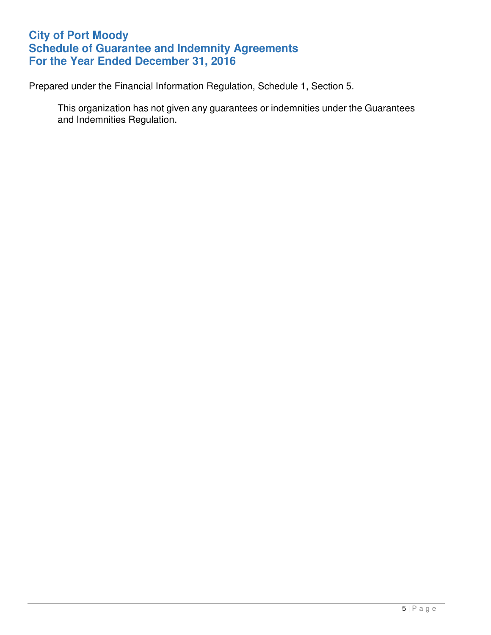# **City of Port Moody Schedule of Guarantee and Indemnity Agreements For the Year Ended December 31, 2016**

Prepared under the Financial Information Regulation, Schedule 1, Section 5.

This organization has not given any guarantees or indemnities under the Guarantees and Indemnities Regulation.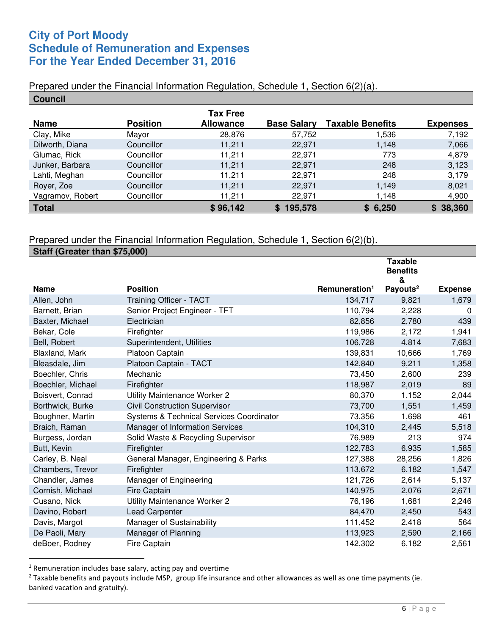### **City of Port Moody Schedule of Remuneration and Expenses For the Year Ended December 31, 2016**

#### Prepared under the Financial Information Regulation, Schedule 1, Section 6(2)(a). **Council**

| uuuluu           |                 |                  |                    |                         |                 |
|------------------|-----------------|------------------|--------------------|-------------------------|-----------------|
|                  |                 | <b>Tax Free</b>  |                    |                         |                 |
| <b>Name</b>      | <b>Position</b> | <b>Allowance</b> | <b>Base Salary</b> | <b>Taxable Benefits</b> | <b>Expenses</b> |
| Clay, Mike       | Mayor           | 28,876           | 57,752             | 1,536                   | 7,192           |
| Dilworth, Diana  | Councillor      | 11,211           | 22,971             | 1,148                   | 7,066           |
| Glumac, Rick     | Councillor      | 11.211           | 22,971             | 773                     | 4,879           |
| Junker, Barbara  | Councillor      | 11,211           | 22,971             | 248                     | 3,123           |
| Lahti, Meghan    | Councillor      | 11,211           | 22,971             | 248                     | 3,179           |
| Royer, Zoe       | Councillor      | 11,211           | 22,971             | 1,149                   | 8,021           |
| Vagramov, Robert | Councillor      | 11,211           | 22,971             | 1,148                   | 4,900           |
| <b>Total</b>     |                 | \$96,142         | 195,578            | \$6,250                 | \$38,360        |

#### Prepared under the Financial Information Regulation, Schedule 1, Section 6(2)(b).

| Staff (Greater than \$75,000) |                                          |                           |                                        |                |
|-------------------------------|------------------------------------------|---------------------------|----------------------------------------|----------------|
|                               |                                          |                           | <b>Taxable</b><br><b>Benefits</b><br>& |                |
| <b>Name</b>                   | <b>Position</b>                          | Remuneration <sup>1</sup> | Payouts <sup>2</sup>                   | <b>Expense</b> |
| Allen, John                   | <b>Training Officer - TACT</b>           | 134,717                   | 9,821                                  | 1,679          |
| Barnett, Brian                | Senior Project Engineer - TFT            | 110,794                   | 2,228                                  | $\Omega$       |
| Baxter, Michael               | Electrician                              | 82,856                    | 2,780                                  | 439            |
| Bekar, Cole                   | Firefighter                              | 119,986                   | 2,172                                  | 1,941          |
| Bell, Robert                  | Superintendent, Utilities                | 106,728                   | 4,814                                  | 7,683          |
| Blaxland, Mark                | Platoon Captain                          | 139,831                   | 10,666                                 | 1,769          |
| Bleasdale, Jim                | Platoon Captain - TACT                   | 142,840                   | 9,211                                  | 1,358          |
| Boechler, Chris               | Mechanic                                 | 73,450                    | 2,600                                  | 239            |
| Boechler, Michael             | Firefighter                              | 118,987                   | 2,019                                  | 89             |
| Boisvert, Conrad              | Utility Maintenance Worker 2             | 80,370                    | 1,152                                  | 2,044          |
| Borthwick, Burke              | <b>Civil Construction Supervisor</b>     | 73,700                    | 1,551                                  | 1,459          |
| Boughner, Martin              | Systems & Technical Services Coordinator | 73,356                    | 1,698                                  | 461            |
| Braich, Raman                 | Manager of Information Services          | 104,310                   | 2,445                                  | 5,518          |
| Burgess, Jordan               | Solid Waste & Recycling Supervisor       | 76,989                    | 213                                    | 974            |
| Butt, Kevin                   | Firefighter                              | 122,783                   | 6,935                                  | 1,585          |
| Carley, B. Neal               | General Manager, Engineering & Parks     | 127,388                   | 28,256                                 | 1,826          |
| Chambers, Trevor              | Firefighter                              | 113,672                   | 6,182                                  | 1,547          |
| Chandler, James               | Manager of Engineering                   | 121,726                   | 2,614                                  | 5,137          |
| Cornish, Michael              | <b>Fire Captain</b>                      | 140,975                   | 2,076                                  | 2,671          |
| Cusano, Nick                  | Utility Maintenance Worker 2             | 76,196                    | 1,681                                  | 2,246          |
| Davino, Robert                | <b>Lead Carpenter</b>                    | 84,470                    | 2,450                                  | 543            |
| Davis, Margot                 | Manager of Sustainability                | 111,452                   | 2,418                                  | 564            |
| De Paoli, Mary                | Manager of Planning                      | 113,923                   | 2,590                                  | 2,166          |
| deBoer, Rodney                | Fire Captain                             | 142,302                   | 6,182                                  | 2,561          |

<sup>&</sup>lt;sup>1</sup> Remuneration includes base salary, acting pay and overtime

 $2$  Taxable benefits and payouts include MSP, group life insurance and other allowances as well as one time payments (ie. banked vacation and gratuity).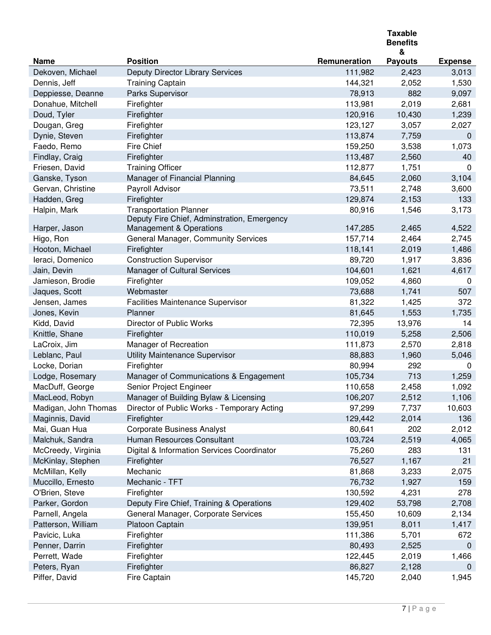|                      |                                                                              |              | <b>Taxable</b><br><b>Benefits</b><br>& |                |
|----------------------|------------------------------------------------------------------------------|--------------|----------------------------------------|----------------|
| <b>Name</b>          | <b>Position</b>                                                              | Remuneration | <b>Payouts</b>                         | <b>Expense</b> |
| Dekoven, Michael     | Deputy Director Library Services                                             | 111,982      | 2,423                                  | 3,013          |
| Dennis, Jeff         | <b>Training Captain</b>                                                      | 144,321      | 2,052                                  | 1,530          |
| Deppiesse, Deanne    | Parks Supervisor                                                             | 78,913       | 882                                    | 9,097          |
| Donahue, Mitchell    | Firefighter                                                                  | 113,981      | 2,019                                  | 2,681          |
| Doud, Tyler          | Firefighter                                                                  | 120,916      | 10,430                                 | 1,239          |
| Dougan, Greg         | Firefighter                                                                  | 123,127      | 3,057                                  | 2,027          |
| Dynie, Steven        | Firefighter                                                                  | 113,874      | 7,759                                  | 0              |
| Faedo, Remo          | Fire Chief                                                                   | 159,250      | 3,538                                  | 1,073          |
| Findlay, Craig       | Firefighter                                                                  | 113,487      | 2,560                                  | 40             |
| Friesen, David       | <b>Training Officer</b>                                                      | 112,877      | 1,751                                  | $\Omega$       |
| Ganske, Tyson        | Manager of Financial Planning                                                | 84,645       | 2,060                                  | 3,104          |
| Gervan, Christine    | Payroll Advisor                                                              | 73,511       | 2,748                                  | 3,600          |
| Hadden, Greg         | Firefighter                                                                  | 129,874      | 2,153                                  | 133            |
| Halpin, Mark         | <b>Transportation Planner</b><br>Deputy Fire Chief, Adminstration, Emergency | 80,916       | 1,546                                  | 3,173          |
| Harper, Jason        | Management & Operations                                                      | 147,285      | 2,465                                  | 4,522          |
| Higo, Ron            | General Manager, Community Services                                          | 157,714      | 2,464                                  | 2,745          |
| Hooton, Michael      | Firefighter                                                                  | 118,141      | 2,019                                  | 1,486          |
| leraci, Domenico     | <b>Construction Supervisor</b>                                               | 89,720       | 1,917                                  | 3,836          |
| Jain, Devin          | Manager of Cultural Services                                                 | 104,601      | 1,621                                  | 4,617          |
| Jamieson, Brodie     | Firefighter                                                                  | 109,052      | 4,860                                  | 0              |
| Jaques, Scott        | Webmaster                                                                    | 73,688       | 1,741                                  | 507            |
| Jensen, James        | <b>Facilities Maintenance Supervisor</b>                                     | 81,322       | 1,425                                  | 372            |
| Jones, Kevin         | Planner                                                                      | 81,645       | 1,553                                  | 1,735          |
| Kidd, David          | Director of Public Works                                                     | 72,395       | 13,976                                 | 14             |
| Knittle, Shane       | Firefighter                                                                  | 110,019      | 5,258                                  | 2,506          |
| LaCroix, Jim         | Manager of Recreation                                                        | 111,873      | 2,570                                  | 2,818          |
| Leblanc, Paul        | Utility Maintenance Supervisor                                               | 88,883       | 1,960                                  | 5,046          |
| Locke, Dorian        | Firefighter                                                                  | 80,994       | 292                                    | 0              |
| Lodge, Rosemary      | Manager of Communications & Engagement                                       | 105,734      | 713                                    | 1,259          |
| MacDuff, George      | Senior Project Engineer                                                      | 110,658      | 2,458                                  | 1,092          |
| MacLeod, Robyn       | Manager of Building Bylaw & Licensing                                        | 106,207      | 2,512                                  | 1,106          |
| Madigan, John Thomas | Director of Public Works - Temporary Acting                                  | 97,299       | 7,737                                  | 10,603         |
| Maginnis, David      | Firefighter                                                                  | 129,442      | 2,014                                  | 136            |
| Mai, Guan Hua        | <b>Corporate Business Analyst</b>                                            | 80,641       | 202                                    | 2,012          |
| Malchuk, Sandra      | Human Resources Consultant                                                   | 103,724      | 2,519                                  | 4,065          |
| McCreedy, Virginia   | Digital & Information Services Coordinator                                   | 75,260       | 283                                    | 131            |
| McKinlay, Stephen    | Firefighter                                                                  | 76,527       | 1,167                                  | 21             |
| McMillan, Kelly      | Mechanic                                                                     | 81,868       | 3,233                                  | 2,075          |
| Muccillo, Ernesto    | Mechanic - TFT                                                               | 76,732       | 1,927                                  | 159            |
| O'Brien, Steve       | Firefighter                                                                  | 130,592      | 4,231                                  | 278            |
| Parker, Gordon       | Deputy Fire Chief, Training & Operations                                     | 129,402      | 53,798                                 | 2,708          |
| Parnell, Angela      | General Manager, Corporate Services                                          | 155,450      | 10,609                                 | 2,134          |
| Patterson, William   | Platoon Captain                                                              | 139,951      | 8,011                                  | 1,417          |
| Pavicic, Luka        | Firefighter                                                                  | 111,386      | 5,701                                  | 672            |
| Penner, Darrin       | Firefighter                                                                  | 80,493       | 2,525                                  | 0              |
| Perrett, Wade        | Firefighter                                                                  | 122,445      | 2,019                                  | 1,466          |
| Peters, Ryan         | Firefighter                                                                  | 86,827       | 2,128                                  | $\mathbf{0}$   |
| Piffer, David        | Fire Captain                                                                 | 145,720      | 2,040                                  | 1,945          |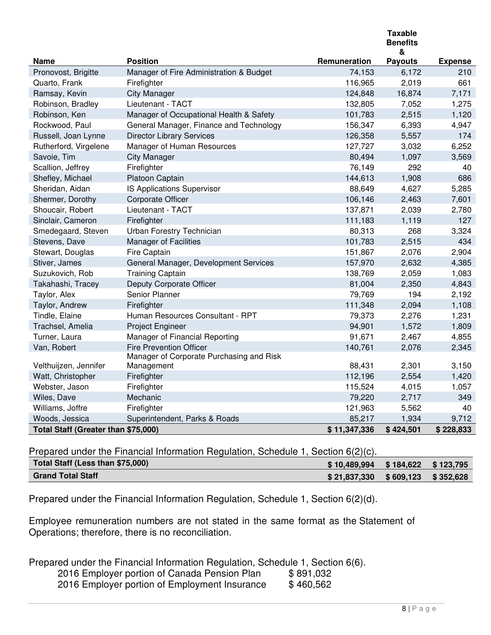|                                     |                                                        |              | <b>Taxable</b><br><b>Benefits</b><br>& |                |
|-------------------------------------|--------------------------------------------------------|--------------|----------------------------------------|----------------|
| <b>Name</b>                         | <b>Position</b>                                        | Remuneration | <b>Payouts</b>                         | <b>Expense</b> |
| Pronovost, Brigitte                 | Manager of Fire Administration & Budget                | 74,153       | 6,172                                  | 210            |
| Quarto, Frank                       | Firefighter                                            | 116,965      | 2,019                                  | 661            |
| Ramsay, Kevin                       | <b>City Manager</b>                                    | 124,848      | 16,874                                 | 7,171          |
| Robinson, Bradley                   | Lieutenant - TACT                                      | 132,805      | 7,052                                  | 1,275          |
| Robinson, Ken                       | Manager of Occupational Health & Safety                | 101,783      | 2,515                                  | 1,120          |
| Rockwood, Paul                      | General Manager, Finance and Technology                | 156,347      | 6,393                                  | 4,947          |
| Russell, Joan Lynne                 | <b>Director Library Services</b>                       | 126,358      | 5,557                                  | 174            |
| Rutherford, Virgelene               | Manager of Human Resources                             | 127,727      | 3,032                                  | 6,252          |
| Savoie, Tim                         | <b>City Manager</b>                                    | 80,494       | 1,097                                  | 3,569          |
| Scallion, Jeffrey                   | Firefighter                                            | 76,149       | 292                                    | 40             |
| Shefley, Michael                    | Platoon Captain                                        | 144,613      | 1,908                                  | 686            |
| Sheridan, Aidan                     | IS Applications Supervisor                             | 88,649       | 4,627                                  | 5,285          |
| Shermer, Dorothy                    | Corporate Officer                                      | 106,146      | 2,463                                  | 7,601          |
| Shoucair, Robert                    | Lieutenant - TACT                                      | 137,871      | 2,039                                  | 2,780          |
| Sinclair, Cameron                   | Firefighter                                            | 111,183      | 1,119                                  | 127            |
| Smedegaard, Steven                  | Urban Forestry Technician                              | 80,313       | 268                                    | 3,324          |
| Stevens, Dave                       | <b>Manager of Facilities</b>                           | 101,783      | 2,515                                  | 434            |
| Stewart, Douglas                    | Fire Captain                                           | 151,867      | 2,076                                  | 2,904          |
| Stiver, James                       | General Manager, Development Services                  | 157,970      | 2,632                                  | 4,385          |
| Suzukovich, Rob                     | <b>Training Captain</b>                                | 138,769      | 2,059                                  | 1,083          |
| Takahashi, Tracey                   | Deputy Corporate Officer                               | 81,004       | 2,350                                  | 4,843          |
| Taylor, Alex                        | Senior Planner                                         | 79,769       | 194                                    | 2,192          |
| Taylor, Andrew                      | Firefighter                                            | 111,348      | 2,094                                  | 1,108          |
| Tindle, Elaine                      | Human Resources Consultant - RPT                       | 79,373       | 2,276                                  | 1,231          |
| Trachsel, Amelia                    | Project Engineer                                       | 94,901       | 1,572                                  | 1,809          |
| Turner, Laura                       | Manager of Financial Reporting                         | 91,671       | 2,467                                  | 4,855          |
| Van, Robert                         | <b>Fire Prevention Officer</b>                         | 140,761      | 2,076                                  | 2,345          |
| Velthuijzen, Jennifer               | Manager of Corporate Purchasing and Risk<br>Management | 88,431       | 2,301                                  | 3,150          |
| Watt, Christopher                   | Firefighter                                            | 112,196      | 2,554                                  | 1,420          |
| Webster, Jason                      | Firefighter                                            | 115,524      | 4,015                                  | 1,057          |
| Wiles, Dave                         | Mechanic                                               | 79,220       | 2,717                                  | 349            |
| Williams, Joffre                    | Firefighter                                            | 121,963      | 5,562                                  | 40             |
| Woods, Jessica                      | Superintendent, Parks & Roads                          | 85,217       | 1,934                                  | 9,712          |
| Total Staff (Greater than \$75,000) |                                                        | \$11,347,336 | \$424,501                              | \$228,833      |

Prepared under the Financial Information Regulation, Schedule 1, Section 6(2)(c).

| Total Staff (Less than \$75,000) | \$10,489,994 \$184,622 \$123,795    |  |
|----------------------------------|-------------------------------------|--|
| <b>Grand Total Staff</b>         | $$21,837,330$ $$609,123$ $$352,628$ |  |

Prepared under the Financial Information Regulation, Schedule 1, Section 6(2)(d).

Employee remuneration numbers are not stated in the same format as the Statement of Operations; therefore, there is no reconciliation.

Prepared under the Financial Information Regulation, Schedule 1, Section 6(6).

| 2016 Employer portion of Canada Pension Plan  | \$891,032 |
|-----------------------------------------------|-----------|
| 2016 Employer portion of Employment Insurance | \$460,562 |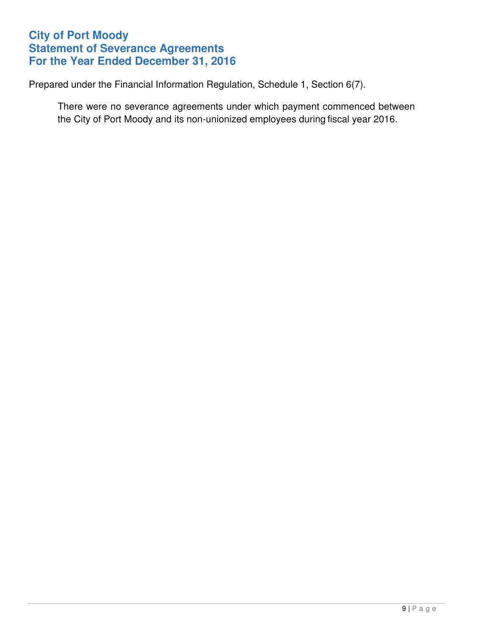# **City of Port Moody Statement of Severance Agreements For the Year Ended December 31, 2016**

Prepared under the Financial Information Regulation, Schedule 1, Section 6(7).

There were no severance agreements under which payment commenced between the City of Port Moody and its non-unionized employees during fiscal year 2016.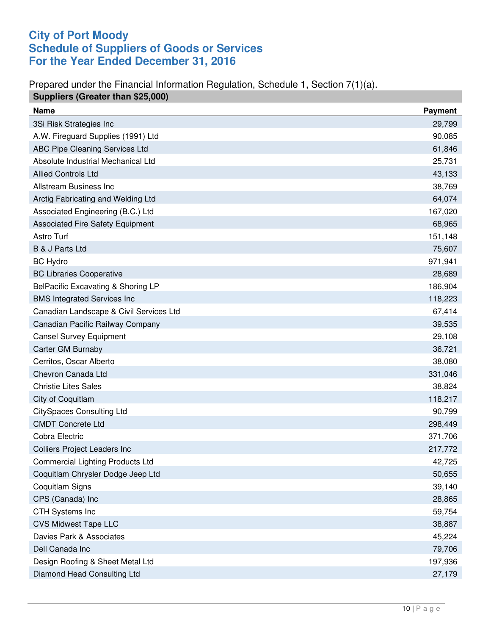# **City of Port Moody Schedule of Suppliers of Goods or Services For the Year Ended December 31, 2016**

#### Prepared under the Financial Information Regulation, Schedule 1, Section 7(1)(a).

| Suppliers (Greater than \$25,000)       |                |
|-----------------------------------------|----------------|
| <b>Name</b>                             | <b>Payment</b> |
| 3Si Risk Strategies Inc                 | 29,799         |
| A.W. Fireguard Supplies (1991) Ltd      | 90,085         |
| ABC Pipe Cleaning Services Ltd          | 61,846         |
| Absolute Industrial Mechanical Ltd      | 25,731         |
| <b>Allied Controls Ltd</b>              | 43,133         |
| Allstream Business Inc                  | 38,769         |
| Arctig Fabricating and Welding Ltd      | 64,074         |
| Associated Engineering (B.C.) Ltd       | 167,020        |
| <b>Associated Fire Safety Equipment</b> | 68,965         |
| Astro Turf                              | 151,148        |
| B & J Parts Ltd                         | 75,607         |
| <b>BC Hydro</b>                         | 971,941        |
| <b>BC Libraries Cooperative</b>         | 28,689         |
| BelPacific Excavating & Shoring LP      | 186,904        |
| <b>BMS Integrated Services Inc</b>      | 118,223        |
| Canadian Landscape & Civil Services Ltd | 67,414         |
| Canadian Pacific Railway Company        | 39,535         |
| <b>Cansel Survey Equipment</b>          | 29,108         |
| Carter GM Burnaby                       | 36,721         |
| Cerritos, Oscar Alberto                 | 38,080         |
| Chevron Canada Ltd                      | 331,046        |
| <b>Christie Lites Sales</b>             | 38,824         |
| City of Coquitlam                       | 118,217        |
| <b>CitySpaces Consulting Ltd</b>        | 90,799         |
| <b>CMDT Concrete Ltd</b>                | 298,449        |
| Cobra Electric                          | 371,706        |
| Colliers Project Leaders Inc            | 217,772        |
| <b>Commercial Lighting Products Ltd</b> | 42,725         |
| Coquitlam Chrysler Dodge Jeep Ltd       | 50,655         |
| Coquitlam Signs                         | 39,140         |
| CPS (Canada) Inc                        | 28,865         |
| <b>CTH Systems Inc</b>                  | 59,754         |
| <b>CVS Midwest Tape LLC</b>             | 38,887         |
| Davies Park & Associates                | 45,224         |
| Dell Canada Inc                         | 79,706         |
| Design Roofing & Sheet Metal Ltd        | 197,936        |
| Diamond Head Consulting Ltd             | 27,179         |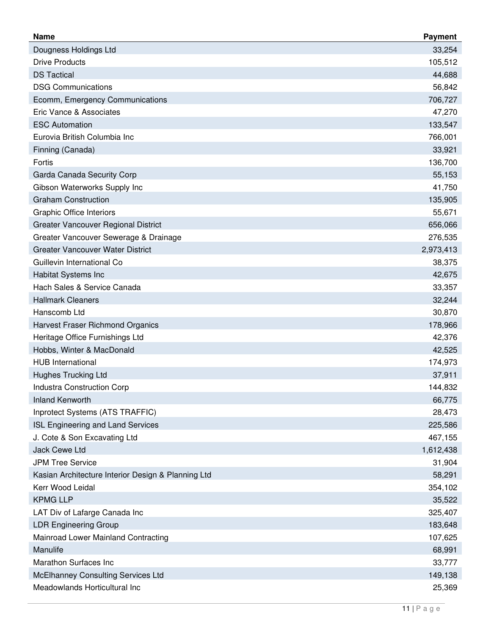| 33,254<br>Dougness Holdings Ltd<br><b>Drive Products</b><br>105,512<br><b>DS Tactical</b><br>44,688<br><b>DSG Communications</b><br>56,842<br>706,727<br>Ecomm, Emergency Communications<br>Eric Vance & Associates<br>47,270<br><b>ESC Automation</b><br>133,547<br>Eurovia British Columbia Inc<br>766,001<br>33,921<br>Finning (Canada)<br>Fortis<br>136,700<br>Garda Canada Security Corp<br>55,153<br>Gibson Waterworks Supply Inc<br>41,750<br><b>Graham Construction</b><br>135,905<br><b>Graphic Office Interiors</b><br>55,671<br><b>Greater Vancouver Regional District</b><br>656,066<br>276,535<br>Greater Vancouver Sewerage & Drainage<br><b>Greater Vancouver Water District</b><br>2,973,413<br>Guillevin International Co<br>38,375<br>Habitat Systems Inc<br>42,675<br>Hach Sales & Service Canada<br>33,357<br><b>Hallmark Cleaners</b><br>32,244<br>Hanscomb Ltd<br>30,870<br>Harvest Fraser Richmond Organics<br>178,966<br>Heritage Office Furnishings Ltd<br>42,376<br>Hobbs, Winter & MacDonald<br>42,525<br><b>HUB</b> International<br>174,973<br><b>Hughes Trucking Ltd</b><br>37,911<br><b>Industra Construction Corp</b><br>144,832<br><b>Inland Kenworth</b><br>66,775<br>Inprotect Systems (ATS TRAFFIC)<br>28,473<br>ISL Engineering and Land Services<br>225,586<br>J. Cote & Son Excavating Ltd<br>467,155<br>Jack Cewe Ltd<br>1,612,438<br><b>JPM Tree Service</b><br>31,904<br>Kasian Architecture Interior Design & Planning Ltd<br>58,291<br>Kerr Wood Leidal<br>354,102<br><b>KPMG LLP</b><br>35,522<br>LAT Div of Lafarge Canada Inc<br>325,407<br><b>LDR Engineering Group</b><br>183,648<br>Mainroad Lower Mainland Contracting<br>107,625<br>Manulife<br>68,991<br>Marathon Surfaces Inc<br>33,777<br>McElhanney Consulting Services Ltd<br>149,138 | <b>Name</b>                   | <b>Payment</b> |
|------------------------------------------------------------------------------------------------------------------------------------------------------------------------------------------------------------------------------------------------------------------------------------------------------------------------------------------------------------------------------------------------------------------------------------------------------------------------------------------------------------------------------------------------------------------------------------------------------------------------------------------------------------------------------------------------------------------------------------------------------------------------------------------------------------------------------------------------------------------------------------------------------------------------------------------------------------------------------------------------------------------------------------------------------------------------------------------------------------------------------------------------------------------------------------------------------------------------------------------------------------------------------------------------------------------------------------------------------------------------------------------------------------------------------------------------------------------------------------------------------------------------------------------------------------------------------------------------------------------------------------------------------------------------------------------------------------------------------------------------------------------------------------------------|-------------------------------|----------------|
|                                                                                                                                                                                                                                                                                                                                                                                                                                                                                                                                                                                                                                                                                                                                                                                                                                                                                                                                                                                                                                                                                                                                                                                                                                                                                                                                                                                                                                                                                                                                                                                                                                                                                                                                                                                                |                               |                |
|                                                                                                                                                                                                                                                                                                                                                                                                                                                                                                                                                                                                                                                                                                                                                                                                                                                                                                                                                                                                                                                                                                                                                                                                                                                                                                                                                                                                                                                                                                                                                                                                                                                                                                                                                                                                |                               |                |
|                                                                                                                                                                                                                                                                                                                                                                                                                                                                                                                                                                                                                                                                                                                                                                                                                                                                                                                                                                                                                                                                                                                                                                                                                                                                                                                                                                                                                                                                                                                                                                                                                                                                                                                                                                                                |                               |                |
|                                                                                                                                                                                                                                                                                                                                                                                                                                                                                                                                                                                                                                                                                                                                                                                                                                                                                                                                                                                                                                                                                                                                                                                                                                                                                                                                                                                                                                                                                                                                                                                                                                                                                                                                                                                                |                               |                |
|                                                                                                                                                                                                                                                                                                                                                                                                                                                                                                                                                                                                                                                                                                                                                                                                                                                                                                                                                                                                                                                                                                                                                                                                                                                                                                                                                                                                                                                                                                                                                                                                                                                                                                                                                                                                |                               |                |
|                                                                                                                                                                                                                                                                                                                                                                                                                                                                                                                                                                                                                                                                                                                                                                                                                                                                                                                                                                                                                                                                                                                                                                                                                                                                                                                                                                                                                                                                                                                                                                                                                                                                                                                                                                                                |                               |                |
|                                                                                                                                                                                                                                                                                                                                                                                                                                                                                                                                                                                                                                                                                                                                                                                                                                                                                                                                                                                                                                                                                                                                                                                                                                                                                                                                                                                                                                                                                                                                                                                                                                                                                                                                                                                                |                               |                |
|                                                                                                                                                                                                                                                                                                                                                                                                                                                                                                                                                                                                                                                                                                                                                                                                                                                                                                                                                                                                                                                                                                                                                                                                                                                                                                                                                                                                                                                                                                                                                                                                                                                                                                                                                                                                |                               |                |
|                                                                                                                                                                                                                                                                                                                                                                                                                                                                                                                                                                                                                                                                                                                                                                                                                                                                                                                                                                                                                                                                                                                                                                                                                                                                                                                                                                                                                                                                                                                                                                                                                                                                                                                                                                                                |                               |                |
|                                                                                                                                                                                                                                                                                                                                                                                                                                                                                                                                                                                                                                                                                                                                                                                                                                                                                                                                                                                                                                                                                                                                                                                                                                                                                                                                                                                                                                                                                                                                                                                                                                                                                                                                                                                                |                               |                |
|                                                                                                                                                                                                                                                                                                                                                                                                                                                                                                                                                                                                                                                                                                                                                                                                                                                                                                                                                                                                                                                                                                                                                                                                                                                                                                                                                                                                                                                                                                                                                                                                                                                                                                                                                                                                |                               |                |
|                                                                                                                                                                                                                                                                                                                                                                                                                                                                                                                                                                                                                                                                                                                                                                                                                                                                                                                                                                                                                                                                                                                                                                                                                                                                                                                                                                                                                                                                                                                                                                                                                                                                                                                                                                                                |                               |                |
|                                                                                                                                                                                                                                                                                                                                                                                                                                                                                                                                                                                                                                                                                                                                                                                                                                                                                                                                                                                                                                                                                                                                                                                                                                                                                                                                                                                                                                                                                                                                                                                                                                                                                                                                                                                                |                               |                |
|                                                                                                                                                                                                                                                                                                                                                                                                                                                                                                                                                                                                                                                                                                                                                                                                                                                                                                                                                                                                                                                                                                                                                                                                                                                                                                                                                                                                                                                                                                                                                                                                                                                                                                                                                                                                |                               |                |
|                                                                                                                                                                                                                                                                                                                                                                                                                                                                                                                                                                                                                                                                                                                                                                                                                                                                                                                                                                                                                                                                                                                                                                                                                                                                                                                                                                                                                                                                                                                                                                                                                                                                                                                                                                                                |                               |                |
|                                                                                                                                                                                                                                                                                                                                                                                                                                                                                                                                                                                                                                                                                                                                                                                                                                                                                                                                                                                                                                                                                                                                                                                                                                                                                                                                                                                                                                                                                                                                                                                                                                                                                                                                                                                                |                               |                |
|                                                                                                                                                                                                                                                                                                                                                                                                                                                                                                                                                                                                                                                                                                                                                                                                                                                                                                                                                                                                                                                                                                                                                                                                                                                                                                                                                                                                                                                                                                                                                                                                                                                                                                                                                                                                |                               |                |
|                                                                                                                                                                                                                                                                                                                                                                                                                                                                                                                                                                                                                                                                                                                                                                                                                                                                                                                                                                                                                                                                                                                                                                                                                                                                                                                                                                                                                                                                                                                                                                                                                                                                                                                                                                                                |                               |                |
|                                                                                                                                                                                                                                                                                                                                                                                                                                                                                                                                                                                                                                                                                                                                                                                                                                                                                                                                                                                                                                                                                                                                                                                                                                                                                                                                                                                                                                                                                                                                                                                                                                                                                                                                                                                                |                               |                |
|                                                                                                                                                                                                                                                                                                                                                                                                                                                                                                                                                                                                                                                                                                                                                                                                                                                                                                                                                                                                                                                                                                                                                                                                                                                                                                                                                                                                                                                                                                                                                                                                                                                                                                                                                                                                |                               |                |
|                                                                                                                                                                                                                                                                                                                                                                                                                                                                                                                                                                                                                                                                                                                                                                                                                                                                                                                                                                                                                                                                                                                                                                                                                                                                                                                                                                                                                                                                                                                                                                                                                                                                                                                                                                                                |                               |                |
|                                                                                                                                                                                                                                                                                                                                                                                                                                                                                                                                                                                                                                                                                                                                                                                                                                                                                                                                                                                                                                                                                                                                                                                                                                                                                                                                                                                                                                                                                                                                                                                                                                                                                                                                                                                                |                               |                |
|                                                                                                                                                                                                                                                                                                                                                                                                                                                                                                                                                                                                                                                                                                                                                                                                                                                                                                                                                                                                                                                                                                                                                                                                                                                                                                                                                                                                                                                                                                                                                                                                                                                                                                                                                                                                |                               |                |
|                                                                                                                                                                                                                                                                                                                                                                                                                                                                                                                                                                                                                                                                                                                                                                                                                                                                                                                                                                                                                                                                                                                                                                                                                                                                                                                                                                                                                                                                                                                                                                                                                                                                                                                                                                                                |                               |                |
|                                                                                                                                                                                                                                                                                                                                                                                                                                                                                                                                                                                                                                                                                                                                                                                                                                                                                                                                                                                                                                                                                                                                                                                                                                                                                                                                                                                                                                                                                                                                                                                                                                                                                                                                                                                                |                               |                |
|                                                                                                                                                                                                                                                                                                                                                                                                                                                                                                                                                                                                                                                                                                                                                                                                                                                                                                                                                                                                                                                                                                                                                                                                                                                                                                                                                                                                                                                                                                                                                                                                                                                                                                                                                                                                |                               |                |
|                                                                                                                                                                                                                                                                                                                                                                                                                                                                                                                                                                                                                                                                                                                                                                                                                                                                                                                                                                                                                                                                                                                                                                                                                                                                                                                                                                                                                                                                                                                                                                                                                                                                                                                                                                                                |                               |                |
|                                                                                                                                                                                                                                                                                                                                                                                                                                                                                                                                                                                                                                                                                                                                                                                                                                                                                                                                                                                                                                                                                                                                                                                                                                                                                                                                                                                                                                                                                                                                                                                                                                                                                                                                                                                                |                               |                |
|                                                                                                                                                                                                                                                                                                                                                                                                                                                                                                                                                                                                                                                                                                                                                                                                                                                                                                                                                                                                                                                                                                                                                                                                                                                                                                                                                                                                                                                                                                                                                                                                                                                                                                                                                                                                |                               |                |
|                                                                                                                                                                                                                                                                                                                                                                                                                                                                                                                                                                                                                                                                                                                                                                                                                                                                                                                                                                                                                                                                                                                                                                                                                                                                                                                                                                                                                                                                                                                                                                                                                                                                                                                                                                                                |                               |                |
|                                                                                                                                                                                                                                                                                                                                                                                                                                                                                                                                                                                                                                                                                                                                                                                                                                                                                                                                                                                                                                                                                                                                                                                                                                                                                                                                                                                                                                                                                                                                                                                                                                                                                                                                                                                                |                               |                |
|                                                                                                                                                                                                                                                                                                                                                                                                                                                                                                                                                                                                                                                                                                                                                                                                                                                                                                                                                                                                                                                                                                                                                                                                                                                                                                                                                                                                                                                                                                                                                                                                                                                                                                                                                                                                |                               |                |
|                                                                                                                                                                                                                                                                                                                                                                                                                                                                                                                                                                                                                                                                                                                                                                                                                                                                                                                                                                                                                                                                                                                                                                                                                                                                                                                                                                                                                                                                                                                                                                                                                                                                                                                                                                                                |                               |                |
|                                                                                                                                                                                                                                                                                                                                                                                                                                                                                                                                                                                                                                                                                                                                                                                                                                                                                                                                                                                                                                                                                                                                                                                                                                                                                                                                                                                                                                                                                                                                                                                                                                                                                                                                                                                                |                               |                |
|                                                                                                                                                                                                                                                                                                                                                                                                                                                                                                                                                                                                                                                                                                                                                                                                                                                                                                                                                                                                                                                                                                                                                                                                                                                                                                                                                                                                                                                                                                                                                                                                                                                                                                                                                                                                |                               |                |
|                                                                                                                                                                                                                                                                                                                                                                                                                                                                                                                                                                                                                                                                                                                                                                                                                                                                                                                                                                                                                                                                                                                                                                                                                                                                                                                                                                                                                                                                                                                                                                                                                                                                                                                                                                                                |                               |                |
|                                                                                                                                                                                                                                                                                                                                                                                                                                                                                                                                                                                                                                                                                                                                                                                                                                                                                                                                                                                                                                                                                                                                                                                                                                                                                                                                                                                                                                                                                                                                                                                                                                                                                                                                                                                                |                               |                |
|                                                                                                                                                                                                                                                                                                                                                                                                                                                                                                                                                                                                                                                                                                                                                                                                                                                                                                                                                                                                                                                                                                                                                                                                                                                                                                                                                                                                                                                                                                                                                                                                                                                                                                                                                                                                |                               |                |
|                                                                                                                                                                                                                                                                                                                                                                                                                                                                                                                                                                                                                                                                                                                                                                                                                                                                                                                                                                                                                                                                                                                                                                                                                                                                                                                                                                                                                                                                                                                                                                                                                                                                                                                                                                                                |                               |                |
|                                                                                                                                                                                                                                                                                                                                                                                                                                                                                                                                                                                                                                                                                                                                                                                                                                                                                                                                                                                                                                                                                                                                                                                                                                                                                                                                                                                                                                                                                                                                                                                                                                                                                                                                                                                                |                               |                |
|                                                                                                                                                                                                                                                                                                                                                                                                                                                                                                                                                                                                                                                                                                                                                                                                                                                                                                                                                                                                                                                                                                                                                                                                                                                                                                                                                                                                                                                                                                                                                                                                                                                                                                                                                                                                |                               |                |
|                                                                                                                                                                                                                                                                                                                                                                                                                                                                                                                                                                                                                                                                                                                                                                                                                                                                                                                                                                                                                                                                                                                                                                                                                                                                                                                                                                                                                                                                                                                                                                                                                                                                                                                                                                                                |                               |                |
|                                                                                                                                                                                                                                                                                                                                                                                                                                                                                                                                                                                                                                                                                                                                                                                                                                                                                                                                                                                                                                                                                                                                                                                                                                                                                                                                                                                                                                                                                                                                                                                                                                                                                                                                                                                                |                               |                |
|                                                                                                                                                                                                                                                                                                                                                                                                                                                                                                                                                                                                                                                                                                                                                                                                                                                                                                                                                                                                                                                                                                                                                                                                                                                                                                                                                                                                                                                                                                                                                                                                                                                                                                                                                                                                | Meadowlands Horticultural Inc | 25,369         |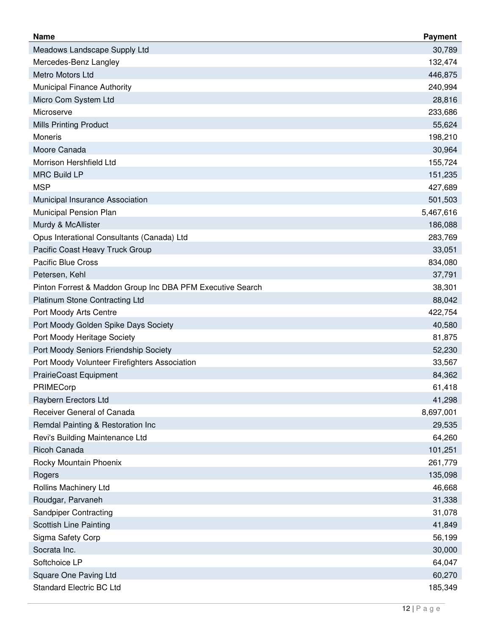| <b>Name</b>                                                | <b>Payment</b> |
|------------------------------------------------------------|----------------|
| Meadows Landscape Supply Ltd                               | 30,789         |
| Mercedes-Benz Langley                                      | 132,474        |
| Metro Motors Ltd                                           | 446,875        |
| Municipal Finance Authority                                | 240,994        |
| Micro Com System Ltd                                       | 28,816         |
| Microserve                                                 | 233,686        |
| <b>Mills Printing Product</b>                              | 55,624         |
| Moneris                                                    | 198,210        |
| Moore Canada                                               | 30,964         |
| Morrison Hershfield Ltd                                    | 155,724        |
| <b>MRC Build LP</b>                                        | 151,235        |
| <b>MSP</b>                                                 | 427,689        |
| Municipal Insurance Association                            | 501,503        |
| Municipal Pension Plan                                     | 5,467,616      |
| Murdy & McAllister                                         | 186,088        |
| Opus Interational Consultants (Canada) Ltd                 | 283,769        |
| Pacific Coast Heavy Truck Group                            | 33,051         |
| <b>Pacific Blue Cross</b>                                  | 834,080        |
| Petersen, Kehl                                             | 37,791         |
| Pinton Forrest & Maddon Group Inc DBA PFM Executive Search | 38,301         |
| <b>Platinum Stone Contracting Ltd</b>                      | 88,042         |
| Port Moody Arts Centre                                     | 422,754        |
| Port Moody Golden Spike Days Society                       | 40,580         |
| Port Moody Heritage Society                                | 81,875         |
| Port Moody Seniors Friendship Society                      | 52,230         |
| Port Moody Volunteer Firefighters Association              | 33,567         |
| <b>PrairieCoast Equipment</b>                              | 84,362         |
| PRIMECorp                                                  | 61,418         |
| Raybern Erectors Ltd                                       | 41,298         |
| Receiver General of Canada                                 | 8,697,001      |
| Remdal Painting & Restoration Inc                          | 29,535         |
| Revi's Building Maintenance Ltd                            | 64,260         |
| <b>Ricoh Canada</b>                                        | 101,251        |
| Rocky Mountain Phoenix                                     | 261,779        |
| Rogers                                                     | 135,098        |
| Rollins Machinery Ltd                                      | 46,668         |
| Roudgar, Parvaneh                                          | 31,338         |
| <b>Sandpiper Contracting</b>                               | 31,078         |
| <b>Scottish Line Painting</b>                              | 41,849         |
| Sigma Safety Corp                                          | 56,199         |
| Socrata Inc.                                               | 30,000         |
| Softchoice LP                                              | 64,047         |
| Square One Paving Ltd                                      | 60,270         |
| <b>Standard Electric BC Ltd</b>                            | 185,349        |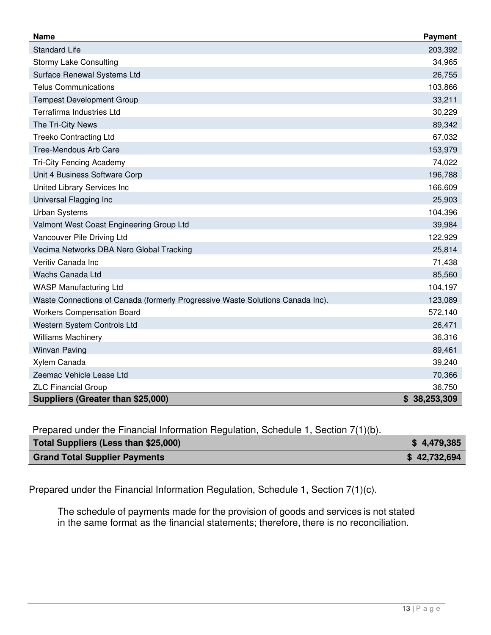| <b>Name</b>                                                                    | Payment      |
|--------------------------------------------------------------------------------|--------------|
| <b>Standard Life</b>                                                           | 203,392      |
| <b>Stormy Lake Consulting</b>                                                  | 34,965       |
| Surface Renewal Systems Ltd                                                    | 26,755       |
| <b>Telus Communications</b>                                                    | 103,866      |
| <b>Tempest Development Group</b>                                               | 33,211       |
| <b>Terrafirma Industries Ltd</b>                                               | 30,229       |
| The Tri-City News                                                              | 89,342       |
| <b>Treeko Contracting Ltd</b>                                                  | 67,032       |
| Tree-Mendous Arb Care                                                          | 153,979      |
| <b>Tri-City Fencing Academy</b>                                                | 74,022       |
| Unit 4 Business Software Corp                                                  | 196,788      |
| United Library Services Inc                                                    | 166,609      |
| Universal Flagging Inc                                                         | 25,903       |
| <b>Urban Systems</b>                                                           | 104,396      |
| Valmont West Coast Engineering Group Ltd                                       | 39,984       |
| Vancouver Pile Driving Ltd                                                     | 122,929      |
| Vecima Networks DBA Nero Global Tracking                                       | 25,814       |
| Veritiv Canada Inc                                                             | 71,438       |
| Wachs Canada Ltd                                                               | 85,560       |
| <b>WASP Manufacturing Ltd</b>                                                  | 104,197      |
| Waste Connections of Canada (formerly Progressive Waste Solutions Canada Inc). | 123,089      |
| <b>Workers Compensation Board</b>                                              | 572,140      |
| Western System Controls Ltd                                                    | 26,471       |
| <b>Williams Machinery</b>                                                      | 36,316       |
| <b>Winvan Paving</b>                                                           | 89,461       |
| Xylem Canada                                                                   | 39,240       |
| Zeemac Vehicle Lease Ltd                                                       | 70,366       |
| <b>ZLC Financial Group</b>                                                     | 36,750       |
| Suppliers (Greater than \$25,000)                                              | \$38,253,309 |

Prepared under the Financial Information Regulation, Schedule 1, Section 7(1)(b).

| Total Suppliers (Less than \$25,000) | \$4,479,385  |
|--------------------------------------|--------------|
| <b>Grand Total Supplier Payments</b> | \$42,732,694 |

Prepared under the Financial Information Regulation, Schedule 1, Section 7(1)(c).

The schedule of payments made for the provision of goods and services is not stated in the same format as the financial statements; therefore, there is no reconciliation.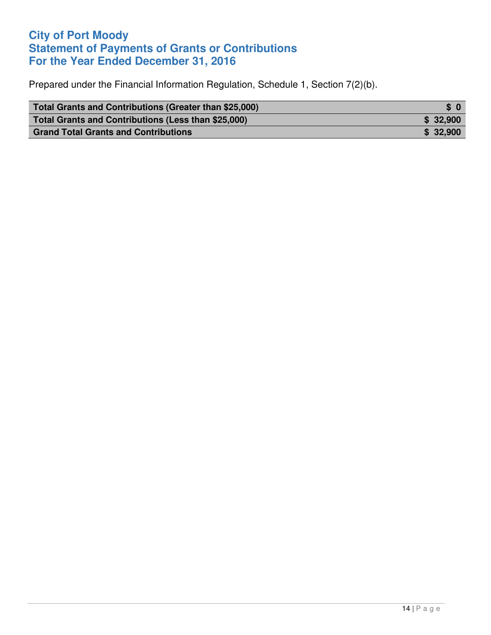## **City of Port Moody Statement of Payments of Grants or Contributions For the Year Ended December 31, 2016**

Prepared under the Financial Information Regulation, Schedule 1, Section 7(2)(b).

| Total Grants and Contributions (Greater than \$25,000) | \$0       |
|--------------------------------------------------------|-----------|
| Total Grants and Contributions (Less than \$25,000)    | \$32,900  |
| <b>Grand Total Grants and Contributions</b>            | \$ 32,900 |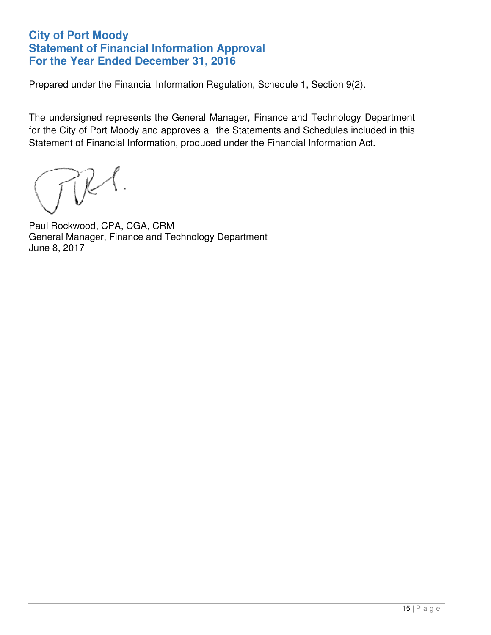### **City of Port Moody Statement of Financial Information Approval For the Year Ended December 31, 2016**

Prepared under the Financial Information Regulation, Schedule 1, Section 9(2).

The undersigned represents the General Manager, Finance and Technology Department for the City of Port Moody and approves all the Statements and Schedules included in this Statement of Financial Information, produced under the Financial Information Act.

 $\overline{a}$ 

Paul Rockwood, CPA, CGA, CRM General Manager, Finance and Technology Department June 8, 2017